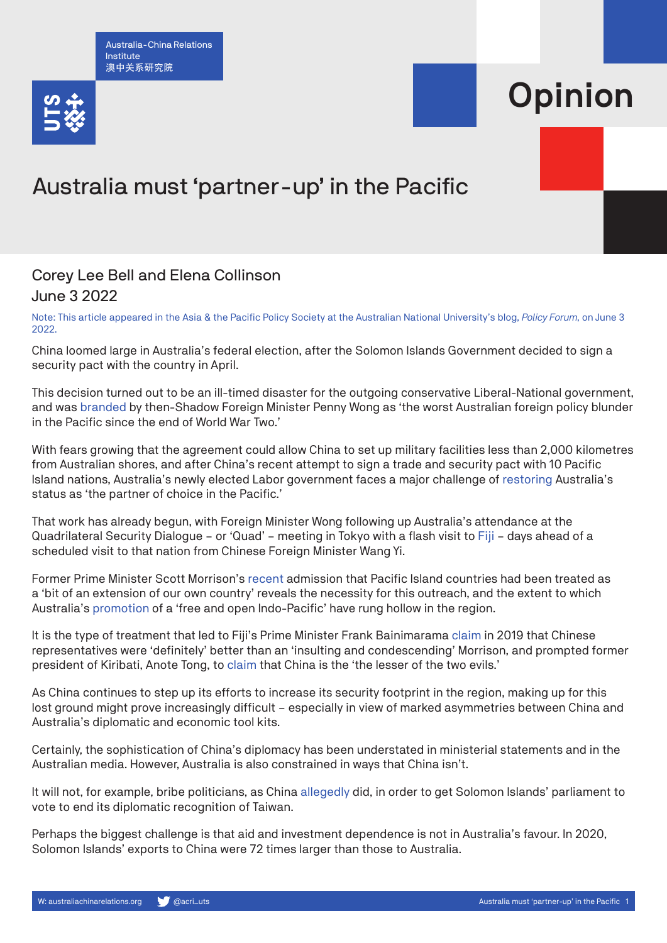Australia-China Relations Institute 澳中关系研究院



## **Opinion**

## Australia must 'partner-up' in the Pacific

## Corey Lee Bell and Elena Collinson June 3 2022

Note: This article appeared in the Asia & the Pacific Policy Society at the Australian National University's blog, *[Policy Forum](https://www.policyforum.net/australia-must-partner-up-in-the-pacific/)*, on June 3 2022.

China loomed large in Australia's federal election, after the Solomon Islands Government decided to sign a security pact with the country in April.

This decision turned out to be an ill-timed disaster for the outgoing conservative Liberal-National government, and was [branded](https://www.theguardian.com/australia-news/2022/apr/19/china-and-solomon-islands-sign-security-deal-chinese-foreign-ministry-says) by then-Shadow Foreign Minister Penny Wong as 'the worst Australian foreign policy blunder in the Pacific since the end of World War Two.'

With fears growing that the agreement could allow China to set up military facilities less than 2,000 kilometres from Australian shores, and after China's recent attempt to sign a trade and security pact with 10 Pacific Island nations, Australia's newly elected Labor government faces a major challenge of [restoring](https://www.theguardian.com/australia-news/2022/may/25/penny-wong-set-to-travel-to-fiji-on-thursday-coinciding-with-chinese-ministers-pacific-tour) Australia's status as 'the partner of choice in the Pacific.'

That work has already begun, with Foreign Minister Wong following up Australia's attendance at the Quadrilateral Security Dialogue – or 'Quad' – meeting in Tokyo with a flash visit to [Fiji](https://www.abc.net.au/news/2022-05-25/penny-wong-fiji-visit-chinese-foreign-minister-pacific/101098382) – days ahead of a scheduled visit to that nation from Chinese Foreign Minister Wang Yi.

Former Prime Minister Scott Morrison's [recent](https://www.liberal.org.au/latest-news/2022/04/12/prime-minister-transcript-press-conference-parramatta-nsw) admission that Pacific Island countries had been treated as a 'bit of an extension of our own country' reveals the necessity for this outreach, and the extent to which Australia's [promotion](https://www.policyforum.net/the-free-and-open-indo-pacific-strategy-a-way-forward/) of a 'free and open Indo-Pacific' have rung hollow in the region.

It is the type of treatment that led to Fiji's Prime Minister Frank Bainimarama [claim](https://www.theguardian.com/world/2019/aug/16/fiji-pm-frank-bainimarama-insulting-scott-morrison-rift-pacific-countries) in 2019 that Chinese representatives were 'definitely' better than an 'insulting and condescending' Morrison, and prompted former president of Kiribati, Anote Tong, to [claim](https://www.sbs.com.au/news/article/australia-the-worst-of-two-evils-over-china-former-kiribati-president-warns/bs0i93w24) that China is the 'the lesser of the two evils.'

As China continues to step up its efforts to increase its security footprint in the region, making up for this lost ground might prove increasingly difficult – especially in view of marked asymmetries between China and Australia's diplomatic and economic tool kits.

Certainly, the sophistication of China's diplomacy has been understated in ministerial statements and in the Australian media. However, Australia is also constrained in ways that China isn't.

It will not, for example, bribe politicians, as China [allegedly](https://www.theguardian.com/world/2019/dec/08/china-and-taiwan-offered-us-huge-bribes-say-solomon-islands-mps) did, in order to get Solomon Islands' parliament to vote to end its diplomatic recognition of Taiwan.

Perhaps the biggest challenge is that aid and investment dependence is not in Australia's favour. In 2020, Solomon Islands' exports to China were 72 times larger than those to Australia.